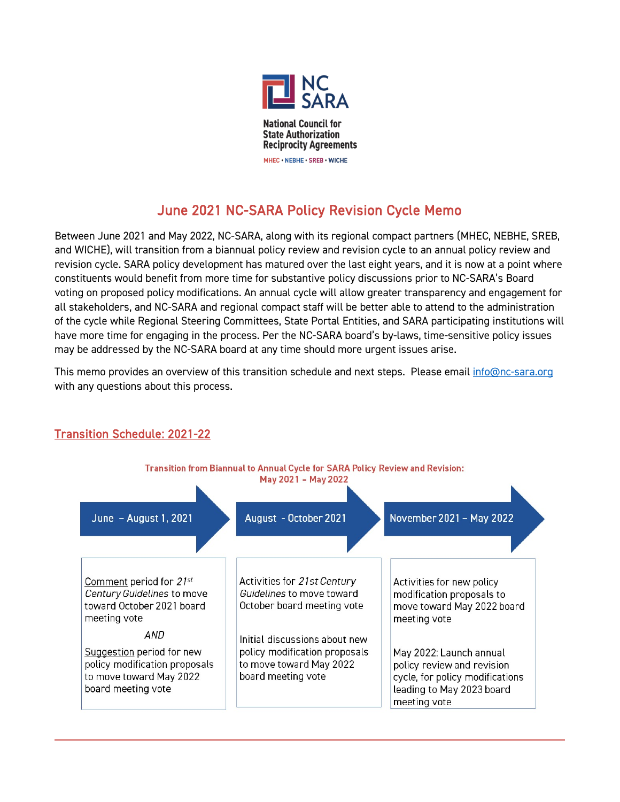

# June 2021 NC-SARA Policy Revision Cycle Memo

Between June 2021 and May 2022, NC-SARA, along with its regional compact partners (MHEC, NEBHE, SREB, and WICHE), will transition from a biannual policy review and revision cycle to an annual policy review and revision cycle. SARA policy development has matured over the last eight years, and it is now at a point where constituents would benefit from more time for substantive policy discussions prior to NC-SARA's Board voting on proposed policy modifications. An annual cycle will allow greater transparency and engagement for all stakeholders, and NC-SARA and regional compact staff will be better able to attend to the administration of the cycle while Regional Steering Committees, State Portal Entities, and SARA participating institutions will have more time for engaging in the process. Per the NC-SARA board's by-laws, time-sensitive policy issues may be addressed by the NC-SARA board at any time should more urgent issues arise.

This memo provides an overview of this transition schedule and next steps. Please email [info@nc-sara.org](mailto:info@nc-sara.org) with any questions about this process.



## Transition Schedule: 2021-22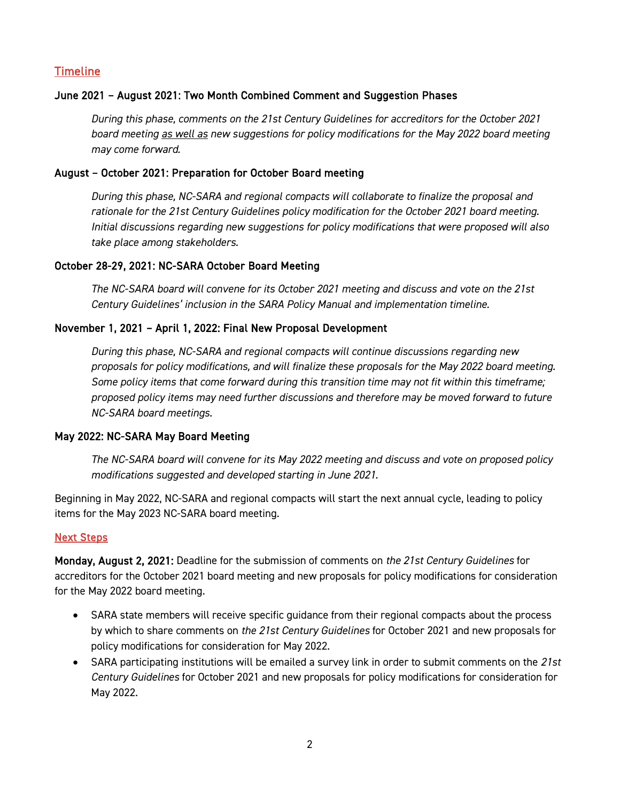### Timeline

#### June 2021 – August 2021: Two Month Combined Comment and Suggestion Phases

*During this phase, comments on the 21st Century Guidelines for accreditors for the October 2021 board meeting as well as new suggestions for policy modifications for the May 2022 board meeting may come forward.*

#### August – October 2021: Preparation for October Board meeting

*During this phase, NC-SARA and regional compacts will collaborate to finalize the proposal and rationale for the 21st Century Guidelines policy modification for the October 2021 board meeting. Initial discussions regarding new suggestions for policy modifications that were proposed will also take place among stakeholders.* 

#### October 28-29, 2021: NC-SARA October Board Meeting

*The NC-SARA board will convene for its October 2021 meeting and discuss and vote on the 21st Century Guidelines' inclusion in the SARA Policy Manual and implementation timeline.* 

#### November 1, 2021 – April 1, 2022: Final New Proposal Development

*During this phase, NC-SARA and regional compacts will continue discussions regarding new proposals for policy modifications, and will finalize these proposals for the May 2022 board meeting. Some policy items that come forward during this transition time may not fit within this timeframe; proposed policy items may need further discussions and therefore may be moved forward to future NC-SARA board meetings.*

#### May 2022: NC-SARA May Board Meeting

*The NC-SARA board will convene for its May 2022 meeting and discuss and vote on proposed policy modifications suggested and developed starting in June 2021.*

Beginning in May 2022, NC-SARA and regional compacts will start the next annual cycle, leading to policy items for the May 2023 NC-SARA board meeting.

#### Next Steps

Monday, August 2, 2021: Deadline for the submission of comments on *the 21st Century Guidelines* for accreditors for the October 2021 board meeting and new proposals for policy modifications for consideration for the May 2022 board meeting.

- SARA state members will receive specific guidance from their regional compacts about the process by which to share comments on *the 21st Century Guidelines* for October 2021 and new proposals for policy modifications for consideration for May 2022.
- SARA participating institutions will be emailed a survey link in order to submit comments on the *21st Century Guidelines* for October 2021 and new proposals for policy modifications for consideration for May 2022.